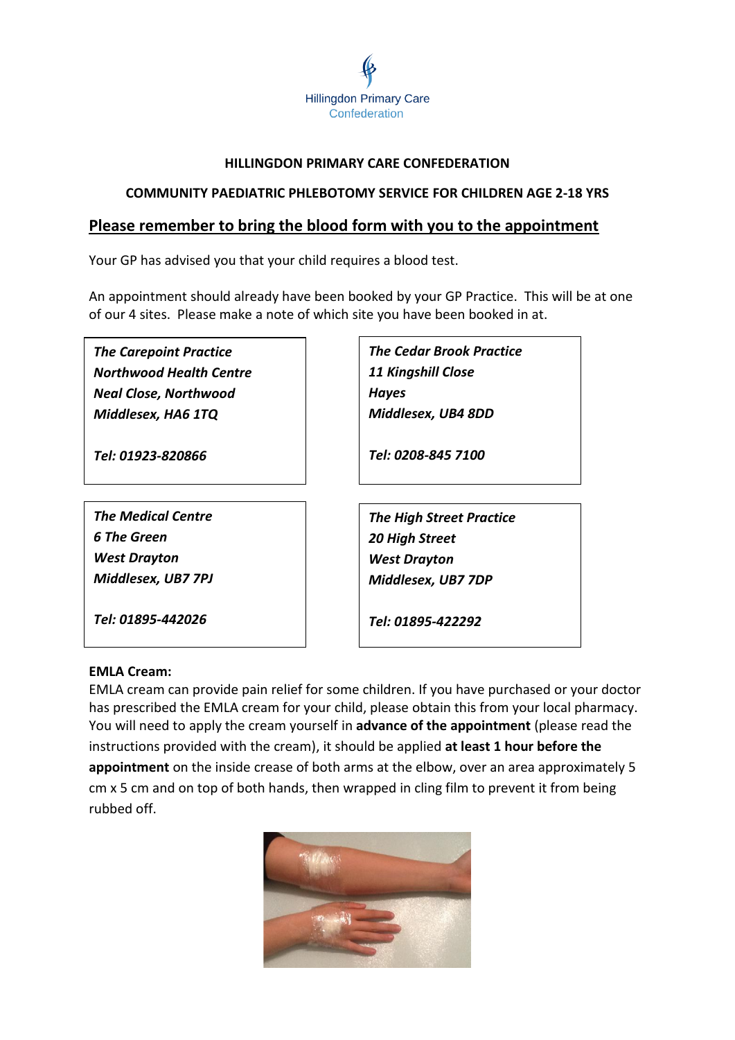

# **HILLINGDON PRIMARY CARE CONFEDERATION**

# **COMMUNITY PAEDIATRIC PHLEBOTOMY SERVICE FOR CHILDREN AGE 2-18 YRS**

# **Please remember to bring the blood form with you to the appointment**

Your GP has advised you that your child requires a blood test.

An appointment should already have been booked by your GP Practice. This will be at one of our 4 sites. Please make a note of which site you have been booked in at.

*The Carepoint Practice Northwood Health Centre Neal Close, Northwood Middlesex, HA6 1TQ*

*Tel: 01923-820866*

*The Medical Centre 6 The Green West Drayton Middlesex, UB7 7PJ*

*Tel: 01895-442026*

*The Cedar Brook Practice 11 Kingshill Close Hayes Middlesex, UB4 8DD*

*Tel: 0208-845 7100*

*The High Street Practice 20 High Street West Drayton Middlesex, UB7 7DP*

*Tel: 01895-422292*

# **EMLA Cream:**

EMLA cream can provide pain relief for some children. If you have purchased or your doctor has prescribed the EMLA cream for your child, please obtain this from your local pharmacy. You will need to apply the cream yourself in **advance of the appointment** (please read the instructions provided with the cream), it should be applied **at least 1 hour before the appointment** on the inside crease of both arms at the elbow, over an area approximately 5 cm x 5 cm and on top of both hands, then wrapped in cling film to prevent it from being rubbed off.